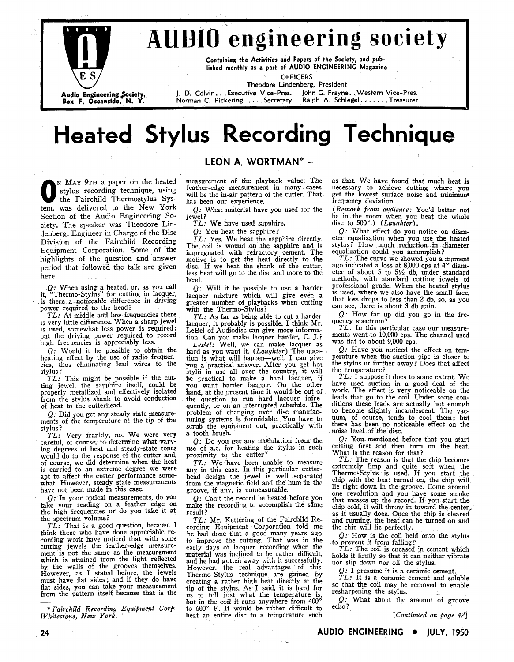

## **AUDIO** engineering society

Containing the Activities and Papers of the Society, and published monthly as a part of AUDIO ENGINEERING Magazine

**OFFICERS** 

**Audio Engineering Society,<br>Box F. Oceanside, N. Y.** 

Theodore Lindenberg, President<br>I. D. Colvin...Executive Vice-Pres. John G. Frayne J. D. Colvin... Executive Vice-Pres. John G. Frayne.. Western Vice-Pres.<br>Norman C. Pickering..... Secretary Ralph A. Schlegel...... Treasurer

## **Heated Stylus Recording Technique**

**0 IN MAY 9TH a paper on the heated stylus recording technique, using the Fairchild Thermostylus System was delivered to the New York** stylus recording technique, using the Fairchild Thermostylus System, was delivered to the New York Section of the Audio Engineering Society. The speaker was Theodore Lindenberg, Engineer in Charge of the Disc pivision of the Fairchild Recording Equipment Corporation. Some of the highlights of the question and answer period that followed the talk are given here.

*Q:* When using a heated, or, as you call it, "Thermo-Stylus" for cutting in lacquer, is there a noticeable difference in driving power required to the head?

*TL:* At middle and low frequencies there is very little difference. When a sharp jewel is used, somewhat less power is required; but the driving power required to record high frequencies is appreciably less.

*Q:* Would it be possible to obtain the heating effect by the use of radio frequencies, thus eliminating lead wires to the stylus?

*TL:* This might be possible if the cutting jewel, the sapphire itself, could be properly metallized and effectively isolated from the stylus shank to avoid conduction

of heat to the cutterhead.<br> $Q$ : Did you get any steady state measurements of the temperature at the tip of the stylus?

*TL:* Very frankly, no. We were very careful, of course, to determine what varying degrees of heat and steady-state tones would do to the response of the cutter and, of course, we did determine when the heat<br>is carried to an extreme degree we were apt to affect the cutter performance some-<br>what. However, steady state measurements have not been made in this case.

**Q:** In your optical measurements, do you take your reading on a feather edge on the high frequencies or do you take it at the spectrum volume?

*TL*: That is a good question, because I think those who have done appreciable recording work have noticed that with some cutting jewels the feather-edge measurement is not the same as the measurement which is attained from the light reflected by the walls of the grooves themselves. However, as I stated before, the jewels must have flat sides; and if they do have flat sides, you can take your measurement from the pattern itself because that is the

\* *Fairchild Recording Equipment Corp. Whitestone, New York.* 

## **LEON A. WORTMAN\*** -

measurement of the playback value. The feather-edge measurement in many cases will be the in-air pattern of the cutter. That has been our experience.

*Q:* What material have you used for the jewel?

*TL:* We have used sapphire.

*Q:* You heat the sapphire?<br>*TL:* Yes. We heat the sapphire directly. The coil is wound on the sapphire and is impregnated with refractory cement. The motive is to get the heat directly to the disc. If we heat the shank of the cutter, less heat will go to the disc and more to the head.

*Q:* Will it be possible to use a harder lacquer mixture which will give even a greater number of playbacks when cutting with the Thermo-Stylus?

*TL:* As far as being able to cut a harder lacquer, it probably is possible. I think Mr. LeBel of Audiodisc can give more information. Can you make lacquer harder, C. J.?<br>LeBel: Well. we can make lacquer as

hard as you want it. *(Laughter)* The question is what will happen-well, I can give you a practical answer. After you get hot stylii in use all over the country, it will **he** practical to make a hard lacquer, if you want harder lacquer. On the other hand, at the present time it would be out of the question to run hard lacquer infre-quently, or on an interrupted schedule. The problem of changing over disc manufacturing systems is formidable. You have to scrub the equipment out, practically with a tooth brush.<br> $Q:$  Do you get any modulation from the

use of a.c. for heating the stylus in such proximity to the cutter?<br>TL: We have been unable to measure

any in this case. In this particular cutter-<br>head design the jewel is well separated from the magnetic field and the hum in the groove, if any, is unmeasurable.

*Q:* Can't the record be heated before you make the recording to accomplish the same result?

*TL:* Mr. Kettering of the Fairchild Recording Equipment Corporation told me he had done that a good many years ago to improve the cutting. That was in the early days of lacquer recording when the material was inclined to be rather difficult, and he had gotten away with it successfully. However, the real advantages of this Thermo-Stylus technique are gained by creating a rather high heat directly at the tip of the stylus. As I said, it is hard for us to tell just what the temperature is, but in the coil it runs anywhere from **400"**  to *600'* **I?.** It would be rather difficult to heat an entire disc to a temperature such

as that. We have found that much heat **is**  necessary to achieve cutting where you get the lowest surface noise and minimum frequency deviation.

*(Remark from audience:* You'd better not be in the room when you heat the whole disc to 500°.) (*Laughter*).

*Q:* What effect do you notice on diameter equalization when you use the heated stylus? How much reduction in diameter equalization could you accomplish?

*TL:* The curve we showed you a moment ago indicated a loss at *8,000* cps at *4"* diameter of about 5 tp **5%** db, under standard methods, with standard cutting jewels of professional grade. When the heated stylus is used, where we also have the small face, that loss drops to less than **2** db, so, as you can see, there is about **3** db gain.

*Q:* How far up did you go in the frequency spectrum?

*TL:* In this particular case our measure-ments went to 10,000 cps. The channel used was flat to about 9,000 cps.

*Q:* Have you noticed the effect on temperature when the suction pipe is closer to the stylus or further away? Does that affect the temperature?

*TL:* I suppose it does to some extent. We have used suction in a good deal of the work. The effect is very noticeable on the<br>leads that go to the coil. Under some conditions these leads are actually hot enough<br>to become slightly incandescent. The vactuum, of course, tends to cool them; but there has been no noticeable effect on the noise level of the disc.

*Q:* You mentioned before that you start cutting first and then turn on the heat. What is the reason for that?

*TL:* The reason is that the chip becomes extremely limp and quite soft when the Thermo-Stylus is used. If you start the chip with the heat turned on, the chip will lie right down in the groove. Come around one revolution and you have some smoke that messes up the record. If you start the chip cold, it will throw in toward the, center,, as it usually does. Once the chip is cleared as it usually does. Once the chip is cleared<br>and running, the heat can be turned on and the chip will lie perfectly.

*Q:* How is the coil held onto the stylus to prevent it from falling?

*TL:* The coil is encased in cement which holds it firmly so that it can neither vibrate nor slip down nor off the stylus.

*Q:* I presume it is a ceramic cement.

*TL:* It is a ceramic cement and soluble so that the coil may be removed to enable so that the coil may be removed to enable<br>resharpening the stylus.

*Q:* What about the amount of groove echo ?

*[Continued on page* **421**